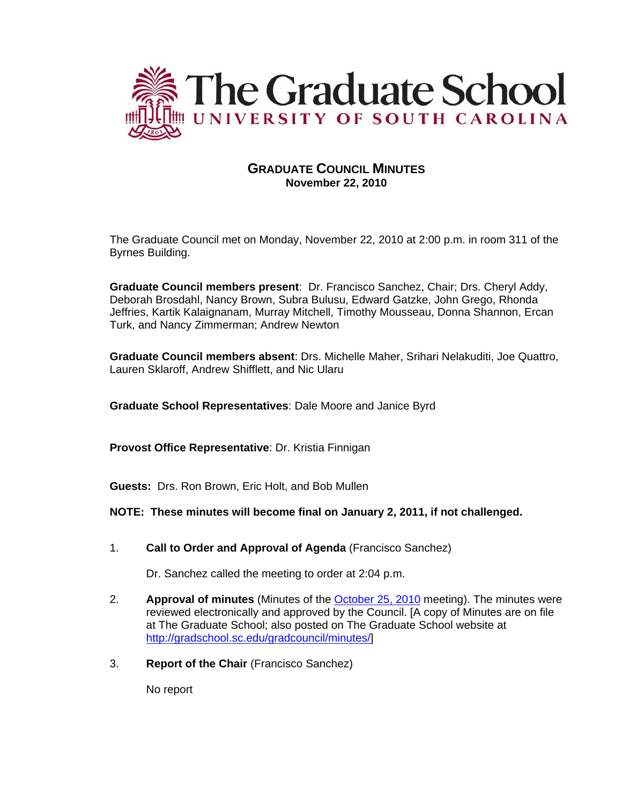

# **GRADUATE COUNCIL MINUTES November 22, 2010**

The Graduate Council met on Monday, November 22, 2010 at 2:00 p.m. in room 311 of the Byrnes Building.

**Graduate Council members present**: Dr. Francisco Sanchez, Chair; Drs. Cheryl Addy, Deborah Brosdahl, Nancy Brown, Subra Bulusu, Edward Gatzke, John Grego, Rhonda Jeffries, Kartik Kalaignanam, Murray Mitchell, Timothy Mousseau, Donna Shannon, Ercan Turk, and Nancy Zimmerman; Andrew Newton

**Graduate Council members absent**: Drs. Michelle Maher, Srihari Nelakuditi, Joe Quattro, Lauren Sklaroff, Andrew Shifflett, and Nic Ularu

**Graduate School Representatives**: Dale Moore and Janice Byrd

**Provost Office Representative**: Dr. Kristia Finnigan

**Guests:** Drs. Ron Brown, Eric Holt, and Bob Mullen

# **NOTE: These minutes will become final on January 2, 2011, if not challenged.**

1. **Call to Order and Approval of Agenda** (Francisco Sanchez)

Dr. Sanchez called the meeting to order at 2:04 p.m.

- 2. **Approval of minutes** (Minutes of the [October 25, 2010](http://gradschool.sc.edu/gradcouncil/minutes/GCMinutes102510.pdf) meeting). The minutes were reviewed electronically and approved by the Council. [A copy of Minutes are on file at The Graduate School; also posted on The Graduate School website at [http://gradschool.sc.edu/gradcouncil/minutes/\]](http://gradschool.sc.edu/gradcouncil/minutes/)
- 3. **Report of the Chair** (Francisco Sanchez)

No report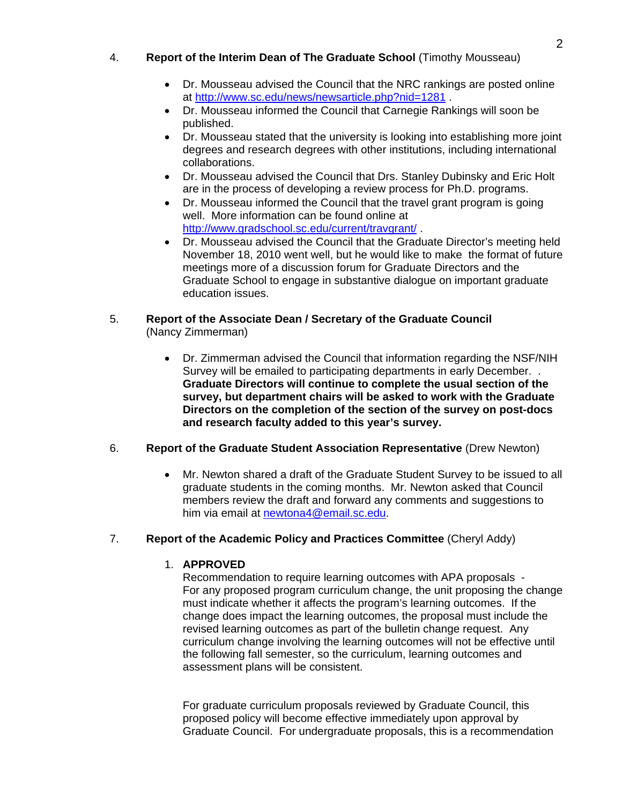# 4. **Report of the Interim Dean of The Graduate School** (Timothy Mousseau)

- Dr. Mousseau advised the Council that the NRC rankings are posted online at<http://www.sc.edu/news/newsarticle.php?nid=1281>.
- Dr. Mousseau informed the Council that Carnegie Rankings will soon be published.
- Dr. Mousseau stated that the university is looking into establishing more joint degrees and research degrees with other institutions, including international collaborations.
- Dr. Mousseau advised the Council that Drs. Stanley Dubinsky and Eric Holt are in the process of developing a review process for Ph.D. programs.
- Dr. Mousseau informed the Council that the travel grant program is going well. More information can be found online at <http://www.gradschool.sc.edu/current/travgrant/> .
- Dr. Mousseau advised the Council that the Graduate Director's meeting held November 18, 2010 went well, but he would like to make the format of future meetings more of a discussion forum for Graduate Directors and the Graduate School to engage in substantive dialogue on important graduate education issues.

# 5. **Report of the Associate Dean / Secretary of the Graduate Council**  (Nancy Zimmerman)

• Dr. Zimmerman advised the Council that information regarding the NSF/NIH Survey will be emailed to participating departments in early December. . **Graduate Directors will continue to complete the usual section of the survey, but department chairs will be asked to work with the Graduate Directors on the completion of the section of the survey on post-docs and research faculty added to this year's survey.** 

# 6. **Report of the Graduate Student Association Representative** (Drew Newton)

• Mr. Newton shared a draft of the Graduate Student Survey to be issued to all graduate students in the coming months. Mr. Newton asked that Council members review the draft and forward any comments and suggestions to him via email at [newtona4@email.sc.edu](mailto:newtona4@email.sc.edu).

# 7. **Report of the Academic Policy and Practices Committee** (Cheryl Addy)

# 1. **APPROVED**

Recommendation to require learning outcomes with APA proposals - For any proposed program curriculum change, the unit proposing the change must indicate whether it affects the program's learning outcomes. If the change does impact the learning outcomes, the proposal must include the revised learning outcomes as part of the bulletin change request. Any curriculum change involving the learning outcomes will not be effective until the following fall semester, so the curriculum, learning outcomes and assessment plans will be consistent.

 For graduate curriculum proposals reviewed by Graduate Council, this proposed policy will become effective immediately upon approval by Graduate Council. For undergraduate proposals, this is a recommendation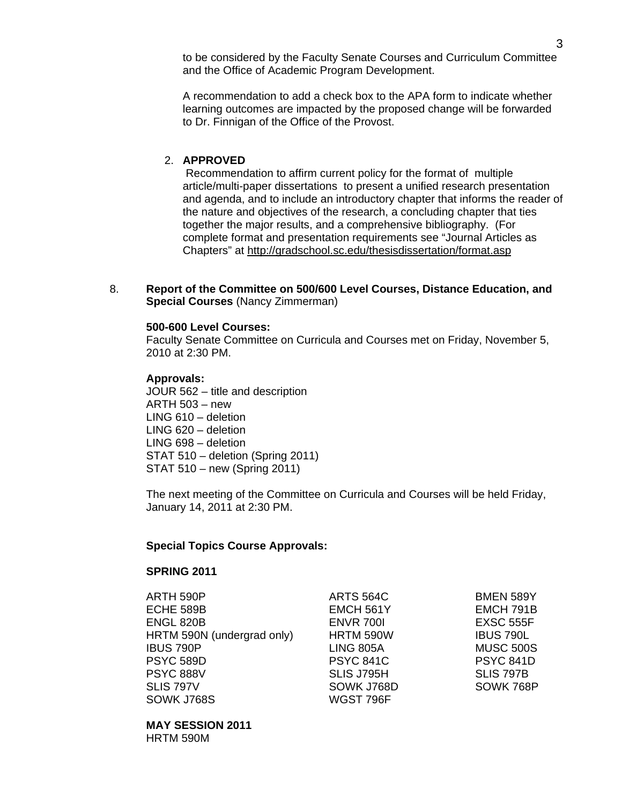to be considered by the Faculty Senate Courses and Curriculum Committee and the Office of Academic Program Development.

 A recommendation to add a check box to the APA form to indicate whether learning outcomes are impacted by the proposed change will be forwarded to Dr. Finnigan of the Office of the Provost.

# 2. **APPROVED**

 Recommendation to affirm current policy for the format of multiple article/multi-paper dissertations to present a unified research presentation and agenda, and to include an introductory chapter that informs the reader of the nature and objectives of the research, a concluding chapter that ties together the major results, and a comprehensive bibliography. (For complete format and presentation requirements see "Journal Articles as Chapters" at <http://gradschool.sc.edu/thesisdissertation/format.asp>

8. **Report of the Committee on 500/600 Level Courses, Distance Education, and Special Courses** (Nancy Zimmerman)

### **500-600 Level Courses:**

 Faculty Senate Committee on Curricula and Courses met on Friday, November 5, 2010 at 2:30 PM.

### **Approvals:**

JOUR 562 – title and description ARTH 503 – new LING 610 – deletion LING 620 – deletion LING 698 – deletion STAT 510 – deletion (Spring 2011) STAT 510 – new (Spring 2011)

 The next meeting of the Committee on Curricula and Courses will be held Friday, January 14, 2011 at 2:30 PM.

### **Special Topics Course Approvals:**

## **SPRING 2011**

 ARTH 590P ARTS 564C BMEN 589Y ECHE 589B EMCH 561Y EMCH 791B ENGL 820B ENVR 700I EXSC 555F HRTM 590N (undergrad only) HRTM 590W IBUS 790L IBUS 790P LING 805A MUSC 500S PSYC 589D PSYC 841C PSYC 841D PSYC 888V SLIS J795H SLIS 797B SLIS 797V SOWK J768D SOWK 768P SOWK J768S WGST 796F

### **MAY SESSION 2011**  HRTM 590M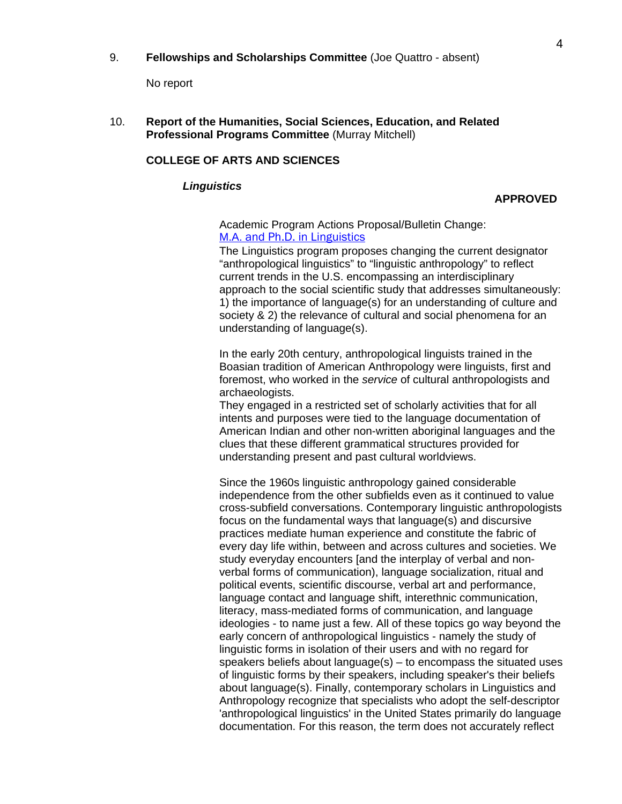No report

10. **Report of the Humanities, Social Sciences, Education, and Related Professional Programs Committee** (Murray Mitchell)

## **COLLEGE OF ARTS AND SCIENCES**

### *Linguistics*

### **APPROVED**

### Academic Program Actions Proposal/Bulletin Change: M.A. [and Ph.D. in Linguistics](http://gradschool.sc.edu/gradcouncil/curr_docs/APALinguistics_201041.pdf)

The Linguistics program proposes changing the current designator "anthropological linguistics" to "linguistic anthropology" to reflect current trends in the U.S. encompassing an interdisciplinary approach to the social scientific study that addresses simultaneously: 1) the importance of language(s) for an understanding of culture and society & 2) the relevance of cultural and social phenomena for an understanding of language(s).

In the early 20th century, anthropological linguists trained in the Boasian tradition of American Anthropology were linguists, first and foremost, who worked in the *service* of cultural anthropologists and archaeologists.

They engaged in a restricted set of scholarly activities that for all intents and purposes were tied to the language documentation of American Indian and other non-written aboriginal languages and the clues that these different grammatical structures provided for understanding present and past cultural worldviews.

Since the 1960s linguistic anthropology gained considerable independence from the other subfields even as it continued to value cross-subfield conversations. Contemporary linguistic anthropologists focus on the fundamental ways that language(s) and discursive practices mediate human experience and constitute the fabric of every day life within, between and across cultures and societies. We study everyday encounters [and the interplay of verbal and nonverbal forms of communication), language socialization, ritual and political events, scientific discourse, verbal art and performance, language contact and language shift, interethnic communication, literacy, mass-mediated forms of communication, and language ideologies - to name just a few. All of these topics go way beyond the early concern of anthropological linguistics - namely the study of linguistic forms in isolation of their users and with no regard for speakers beliefs about language(s) – to encompass the situated uses of linguistic forms by their speakers, including speaker's their beliefs about language(s). Finally, contemporary scholars in Linguistics and Anthropology recognize that specialists who adopt the self-descriptor 'anthropological linguistics' in the United States primarily do language documentation. For this reason, the term does not accurately reflect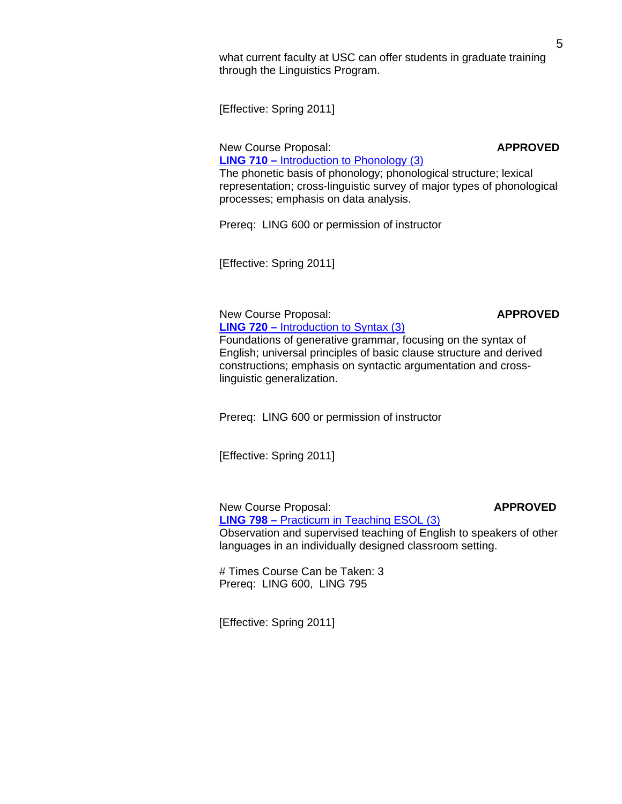what current faculty at USC can offer students in graduate training through the Linguistics Program.

[Effective: Spring 2011]

New Course Proposal: **APPROVED** 

 **LING 710 –** [Introduction to Phonology \(3\)](http://gradschool.sc.edu/gradcouncil/curr_docs/NCPLING710_201041.pdf) The phonetic basis of phonology; phonological structure; lexical representation; cross-linguistic survey of major types of phonological processes; emphasis on data analysis.

Prereq: LING 600 or permission of instructor

[Effective: Spring 2011]

New Course Proposal: **APPROVED LING 720 –** [Introduction to Syntax \(3\)](http://gradschool.sc.edu/gradcouncil/curr_docs/NCPLING720_201041.pdf)

Foundations of generative grammar, focusing on the syntax of English; universal principles of basic clause structure and derived constructions; emphasis on syntactic argumentation and cross linguistic generalization.

Prereq: LING 600 or permission of instructor

[Effective: Spring 2011]

 New Course Proposal: **APPROVED LING 798 –** [Practicum in Teaching ESOL \(3\)](http://gradschool.sc.edu/gradcouncil/curr_docs/NCPLING798_201041.pdf) Observation and supervised teaching of English to speakers of other languages in an individually designed classroom setting.

 # Times Course Can be Taken: 3 Prereq: LING 600, LING 795

[Effective: Spring 2011]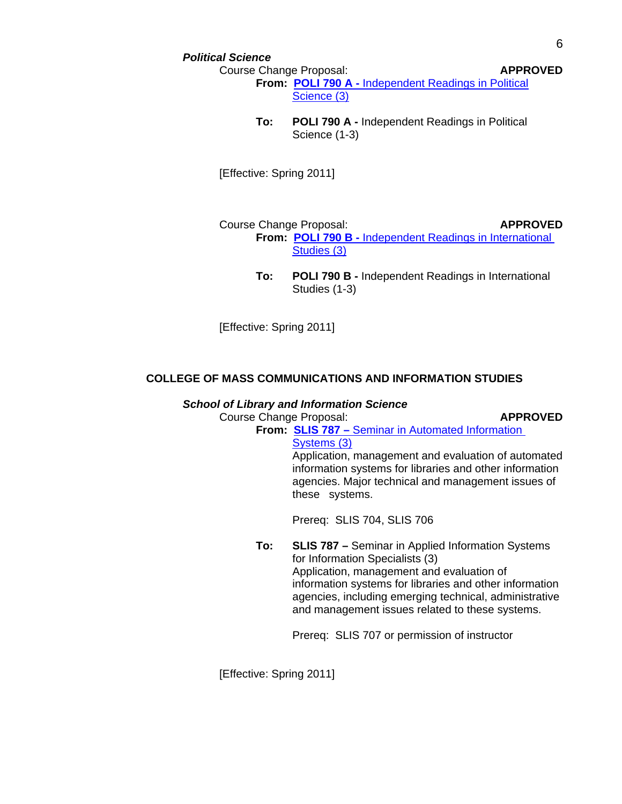### *Political Science*

Course Change Proposal: **APPROVED**

**From: POLI 790 A -** [Independent Readings in Political](http://gradschool.sc.edu/gradcouncil/curr_docs/CCPPOLI790A_201041.pdf)  [Science \(3\)](http://gradschool.sc.edu/gradcouncil/curr_docs/CCPPOLI790A_201041.pdf)

**To: POLI 790 A -** Independent Readings in Political Science (1-3)

[Effective: Spring 2011]

 Course Change Proposal: **APPROVED From: POLI 790 B -** [Independent Readings in International](http://gradschool.sc.edu/gradcouncil/curr_docs/CCPPOLI790B_201041.pdf)   [Studies \(3\)](http://gradschool.sc.edu/gradcouncil/curr_docs/CCPPOLI790B_201041.pdf)

> **To: POLI 790 B -** Independent Readings in International Studies (1-3)

[Effective: Spring 2011]

# **COLLEGE OF MASS COMMUNICATIONS AND INFORMATION STUDIES**

### *School of Library and Information Science*

Course Change Proposal: **APPROVED**

**From: SLIS 787 –** [Seminar in Automated Information](http://gradschool.sc.edu/gradcouncil/curr_docs/CCPSLIS787_201041.pdf) 

 [Systems \(3\)](http://gradschool.sc.edu/gradcouncil/curr_docs/CCPSLIS787_201041.pdf)

 Application, management and evaluation of automated information systems for libraries and other information agencies. Major technical and management issues of these systems.

Prereq: SLIS 704, SLIS 706

**To: SLIS 787 –** Seminar in Applied Information Systems for Information Specialists (3) Application, management and evaluation of information systems for libraries and other information agencies, including emerging technical, administrative and management issues related to these systems.

Prereq: SLIS 707 or permission of instructor

[Effective: Spring 2011]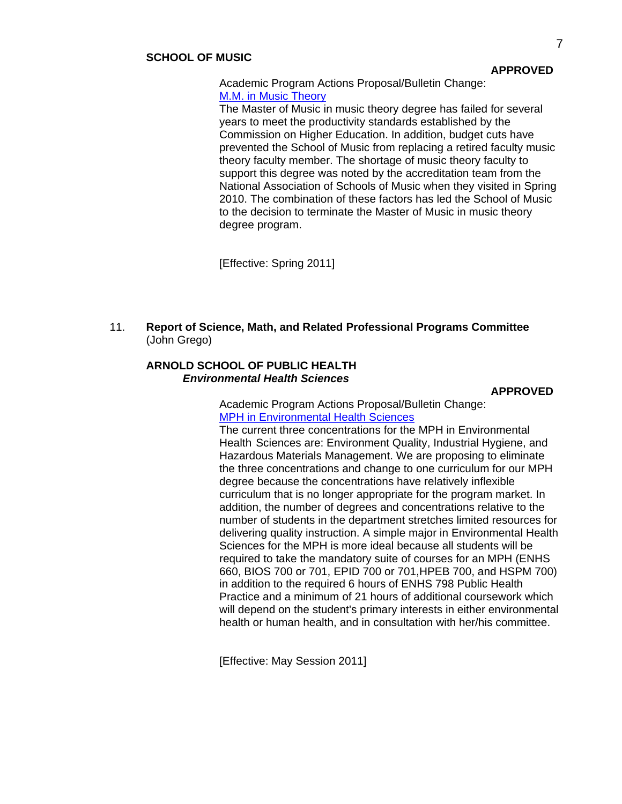### **SCHOOL OF MUSIC**

 Academic Program Actions Proposal/Bulletin Change: [M.M. in Music Theory](http://gradschool.sc.edu/gradcouncil/curr_docs/APAMAMusicTheory_201041.pdf)

 The Master of Music in music theory degree has failed for several years to meet the productivity standards established by the Commission on Higher Education. In addition, budget cuts have prevented the School of Music from replacing a retired faculty music theory faculty member. The shortage of music theory faculty to support this degree was noted by the accreditation team from the National Association of Schools of Music when they visited in Spring 2010. The combination of these factors has led the School of Music to the decision to terminate the Master of Music in music theory degree program.

[Effective: Spring 2011]

11. **Report of Science, Math, and Related Professional Programs Committee** (John Grego)

### **ARNOLD SCHOOL OF PUBLIC HEALTH**  *Environmental Health Sciences*

**APPROVED**

Academic Program Actions Proposal/Bulletin Change: [MPH in Environmental Health Sciences](http://gradschool.sc.edu/gradcouncil/curr_docs/APAMPHinEnvironmentalHealthSciences.pdf)

 The current three concentrations for the MPH in Environmental Health Sciences are: Environment Quality, Industrial Hygiene, and Hazardous Materials Management. We are proposing to eliminate the three concentrations and change to one curriculum for our MPH degree because the concentrations have relatively inflexible curriculum that is no longer appropriate for the program market. In addition, the number of degrees and concentrations relative to the number of students in the department stretches limited resources for delivering quality instruction. A simple major in Environmental Health Sciences for the MPH is more ideal because all students will be required to take the mandatory suite of courses for an MPH (ENHS 660, BIOS 700 or 701, EPID 700 or 701,HPEB 700, and HSPM 700) in addition to the required 6 hours of ENHS 798 Public Health Practice and a minimum of 21 hours of additional coursework which will depend on the student's primary interests in either environmental health or human health, and in consultation with her/his committee.

[Effective: May Session 2011]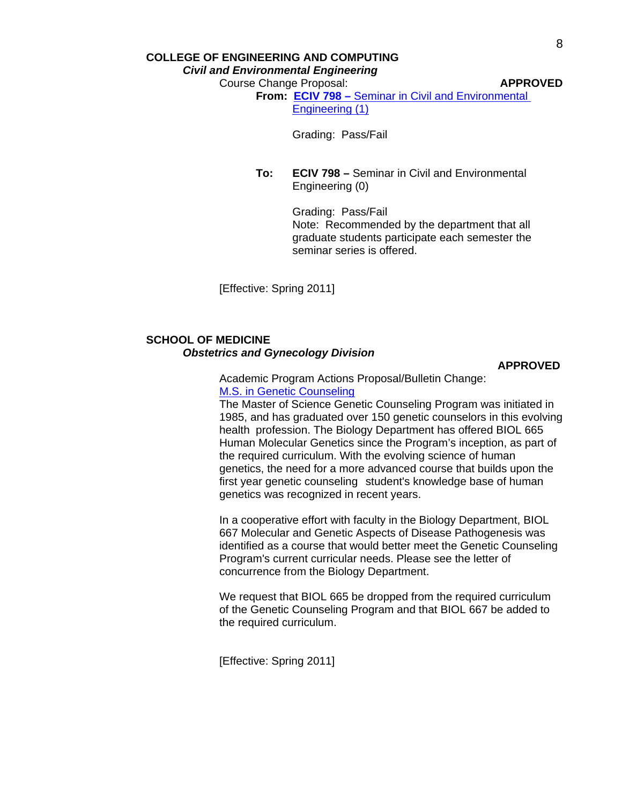## **COLLEGE OF ENGINEERING AND COMPUTING**

*Civil and Environmental Engineering* 

Course Change Proposal: **APPROVED**

**From: ECIV 798 –** [Seminar in Civil and Environmental](http://gradschool.sc.edu/gradcouncil/curr_docs/CCPECIV798_201041.pdf)   [Engineering \(1\)](http://gradschool.sc.edu/gradcouncil/curr_docs/CCPECIV798_201041.pdf)

Grading: Pass/Fail

**To: ECIV 798 –** Seminar in Civil and Environmental Engineering (0)

> Grading: Pass/Fail Note: Recommended by the department that all graduate students participate each semester the seminar series is offered.

[Effective: Spring 2011]

## **SCHOOL OF MEDICINE**   *Obstetrics and Gynecology Division*

**APPROVED**

 Academic Program Actions Proposal/Bulletin Change: [M.S. in Genetic Counseling](http://gradschool.sc.edu/gradcouncil/curr_docs/APAMSGeneticCounseling_201041.pdf)

 The Master of Science Genetic Counseling Program was initiated in 1985, and has graduated over 150 genetic counselors in this evolving health profession. The Biology Department has offered BIOL 665 Human Molecular Genetics since the Program's inception, as part of the required curriculum. With the evolving science of human genetics, the need for a more advanced course that builds upon the first year genetic counseling student's knowledge base of human genetics was recognized in recent years.

 In a cooperative effort with faculty in the Biology Department, BIOL 667 Molecular and Genetic Aspects of Disease Pathogenesis was identified as a course that would better meet the Genetic Counseling Program's current curricular needs. Please see the letter of concurrence from the Biology Department.

 We request that BIOL 665 be dropped from the required curriculum of the Genetic Counseling Program and that BIOL 667 be added to the required curriculum.

[Effective: Spring 2011]